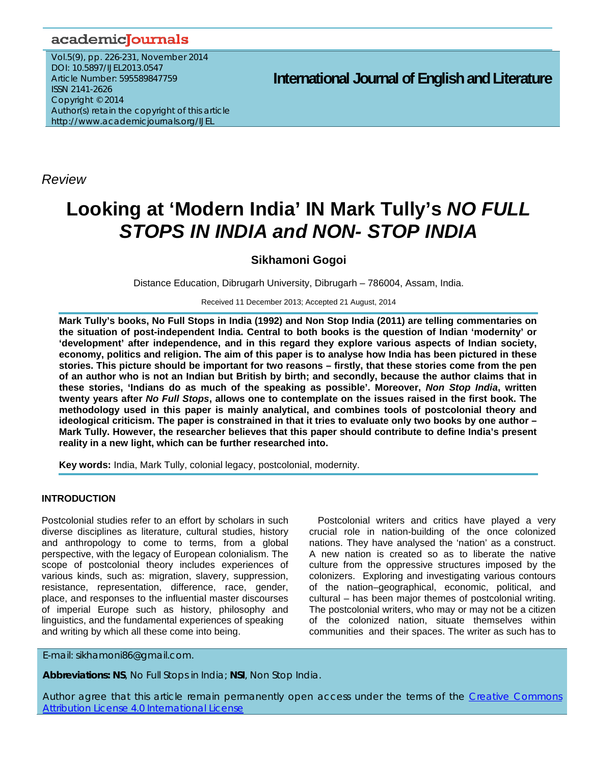# academicJournals

Vol.5(9), pp. 226-231, November 2014 DOI: 10.5897/IJEL2013.0547 Article Number: 595589847759 ISSN 2141-2626 Copyright © 2014 Author(s) retain the copyright of this article http://www.academicjournals.org/IJEL

**International Journal of English and Literature** 

*Review* 

# **Looking at 'Modern India' IN Mark Tully's** *NO FULL STOPS IN INDIA and NON- STOP INDIA*

**Sikhamoni Gogoi** 

Distance Education, Dibrugarh University, Dibrugarh – 786004, Assam, India.

Received 11 December 2013; Accepted 21 August, 2014

**Mark Tully's books, No Full Stops in India (1992) and Non Stop India (2011) are telling commentaries on the situation of post-independent India. Central to both books is the question of Indian 'modernity' or 'development' after independence, and in this regard they explore various aspects of Indian society, economy, politics and religion. The aim of this paper is to analyse how India has been pictured in these stories. This picture should be important for two reasons – firstly, that these stories come from the pen of an author who is not an Indian but British by birth; and secondly, because the author claims that in these stories, 'Indians do as much of the speaking as possible'. Moreover,** *Non Stop India***, written twenty years after** *No Full Stops***, allows one to contemplate on the issues raised in the first book. The methodology used in this paper is mainly analytical, and combines tools of postcolonial theory and ideological criticism. The paper is constrained in that it tries to evaluate only two books by one author – Mark Tully. However, the researcher believes that this paper should contribute to define India's present reality in a new light, which can be further researched into.** 

**Key words:** India, Mark Tully, colonial legacy, postcolonial, modernity.

# **INTRODUCTION**

Postcolonial studies refer to an effort by scholars in such diverse disciplines as literature, cultural studies, history and anthropology to come to terms, from a global perspective, with the legacy of European colonialism. The scope of postcolonial theory includes experiences of various kinds, such as: migration, slavery, suppression, resistance, representation, difference, race, gender, place, and responses to the influential master discourses of imperial Europe such as history, philosophy and linguistics, and the fundamental experiences of speaking and writing by which all these come into being.

Postcolonial writers and critics have played a very crucial role in nation-building of the once colonized nations. They have analysed the 'nation' as a construct. A new nation is created so as to liberate the native culture from the oppressive structures imposed by the colonizers. Exploring and investigating various contours of the nation–geographical, economic, political, and cultural – has been major themes of postcolonial writing. The postcolonial writers, who may or may not be a citizen of the colonized nation, situate themselves within communities and their spaces. The writer as such has to

E-mail: sikhamoni86@gmail.com.

**Abbreviations: NS**, No Full Stops in India; **NSI**, Non Stop India.

Author agree that this article remain permanently open access under the terms of the Creative Commons Attribution License 4.0 International License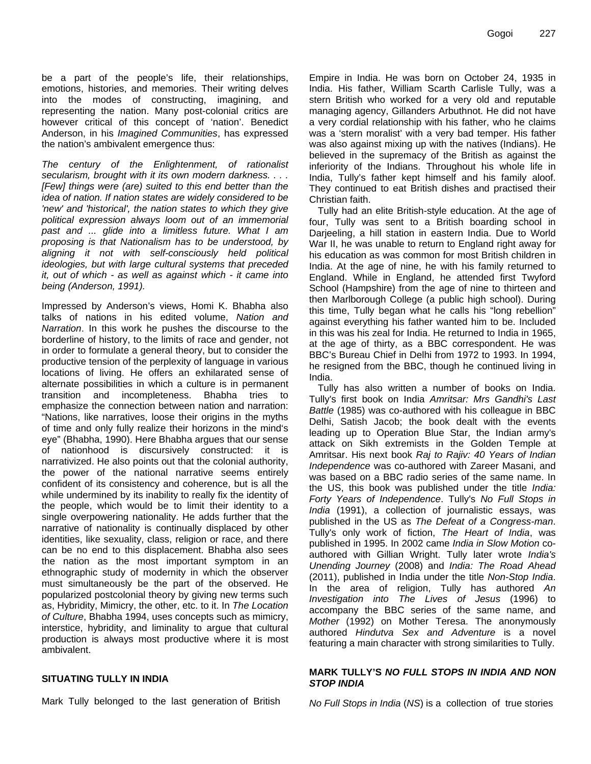be a part of the people's life, their relationships, emotions, histories, and memories. Their writing delves into the modes of constructing, imagining, and representing the nation. Many post-colonial critics are however critical of this concept of 'nation'. Benedict Anderson, in his *Imagined Communities*, has expressed the nation's ambivalent emergence thus:

*The century of the Enlightenment, of rationalist secularism, brought with it its own modern darkness. . . . [Few] things were (are) suited to this end better than the idea of nation. If nation states are widely considered to be 'new' and 'historical', the nation states to which they give political expression always loom out of an immemorial past and ... glide into a limitless future. What I am proposing is that Nationalism has to be understood, by aligning it not with self-consciously held political ideologies, but with large cultural systems that preceded it, out of which - as well as against which - it came into being (Anderson, 1991).* 

Impressed by Anderson's views, Homi K. Bhabha also talks of nations in his edited volume, *Nation and Narration*. In this work he pushes the discourse to the borderline of history, to the limits of race and gender, not in order to formulate a general theory, but to consider the productive tension of the perplexity of language in various locations of living. He offers an exhilarated sense of alternate possibilities in which a culture is in permanent transition and incompleteness. Bhabha tries to emphasize the connection between nation and narration: "Nations, like narratives, loose their origins in the myths of time and only fully realize their horizons in the mind's eye" (Bhabha, 1990). Here Bhabha argues that our sense of nationhood is discursively constructed: it is narrativized. He also points out that the colonial authority, the power of the national narrative seems entirely confident of its consistency and coherence, but is all the while undermined by its inability to really fix the identity of the people, which would be to limit their identity to a single overpowering nationality. He adds further that the narrative of nationality is continually displaced by other identities, like sexuality, class, religion or race, and there can be no end to this displacement. Bhabha also sees the nation as the most important symptom in an ethnographic study of modernity in which the observer must simultaneously be the part of the observed. He popularized postcolonial theory by giving new terms such as, Hybridity, Mimicry, the other, etc. to it. In *The Location of Culture*, Bhabha 1994, uses concepts such as mimicry, interstice, hybridity, and liminality to argue that cultural production is always most productive where it is most ambivalent.

#### **SITUATING TULLY IN INDIA**

Mark Tully belonged to the last generation of British

Empire in India. He was born on October 24, 1935 in India. His father, William Scarth Carlisle Tully, was a stern British who worked for a very old and reputable managing agency, Gillanders Arbuthnot. He did not have a very cordial relationship with his father, who he claims was a 'stern moralist' with a very bad temper. His father was also against mixing up with the natives (Indians). He believed in the supremacy of the British as against the inferiority of the Indians. Throughout his whole life in India, Tully's father kept himself and his family aloof. They continued to eat British dishes and practised their Christian faith.

Tully had an elite British-style education. At the age of four, Tully was sent to a British boarding school in Darjeeling, a hill station in eastern India. Due to World War II, he was unable to return to England right away for his education as was common for most British children in India. At the age of nine, he with his family returned to England. While in England, he attended first Twyford School (Hampshire) from the age of nine to thirteen and then Marlborough College (a public high school). During this time, Tully began what he calls his "long rebellion" against everything his father wanted him to be. Included in this was his zeal for India. He returned to India in 1965, at the age of thirty, as a BBC correspondent. He was BBC's Bureau Chief in Delhi from 1972 to 1993. In 1994, he resigned from the BBC, though he continued living in India.

Tully has also written a number of books on India. Tully's first book on India *Amritsar: Mrs Gandhi's Last Battle* (1985) was co-authored with his colleague in BBC Delhi, Satish Jacob; the book dealt with the events leading up to Operation Blue Star, the Indian army's attack on Sikh extremists in the Golden Temple at Amritsar. His next book *Raj to Rajiv: 40 Years of Indian Independence* was co-authored with Zareer Masani, and was based on a BBC radio series of the same name. In the US, this book was published under the title *India: Forty Years of Independence*. Tully's *No Full Stops in India* (1991), a collection of journalistic essays, was published in the US as *The Defeat of a Congress-man*. Tully's only work of fiction, *The Heart of India*, was published in 1995. In 2002 came *India in Slow Motion* coauthored with Gillian Wright. Tully later wrote *India's Unending Journey* (2008) and *India: The Road Ahead* (2011), published in India under the title *Non-Stop India*. In the area of religion, Tully has authored *An Investigation into The Lives of Jesus* (1996) to accompany the BBC series of the same name, and *Mother* (1992) on Mother Teresa. The anonymously authored *Hindutva Sex and Adventure* is a novel featuring a main character with strong similarities to Tully.

#### **MARK TULLY'S** *NO FULL STOPS IN INDIA AND NON STOP INDIA*

*No Full Stops in India* (*NS*) is a collection of true stories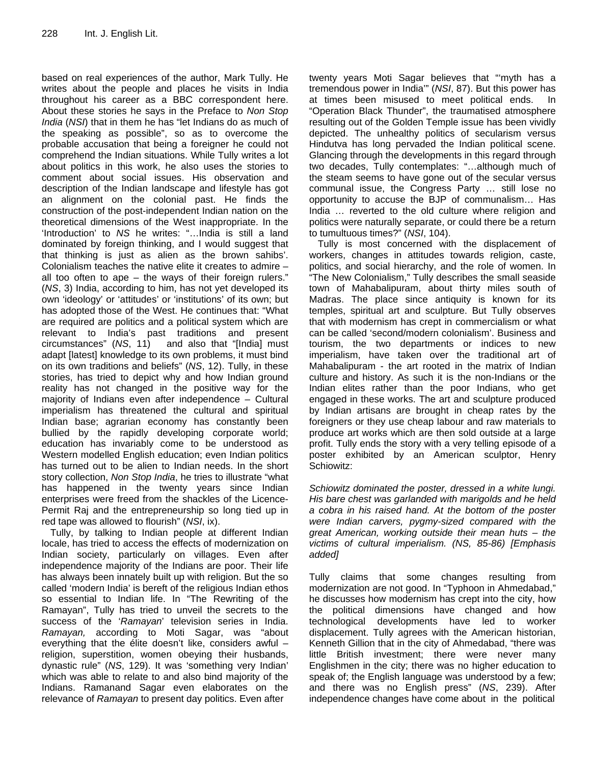based on real experiences of the author, Mark Tully. He writes about the people and places he visits in India throughout his career as a BBC correspondent here. About these stories he says in the Preface to *Non Stop India* (*NSI*) that in them he has "let Indians do as much of the speaking as possible", so as to overcome the probable accusation that being a foreigner he could not comprehend the Indian situations. While Tully writes a lot about politics in this work, he also uses the stories to comment about social issues. His observation and description of the Indian landscape and lifestyle has got an alignment on the colonial past. He finds the construction of the post-independent Indian nation on the theoretical dimensions of the West inappropriate. In the 'Introduction' to *NS* he writes: "…India is still a land dominated by foreign thinking, and I would suggest that that thinking is just as alien as the brown sahibs'. Colonialism teaches the native elite it creates to admire – all too often to ape – the ways of their foreign rulers." (*NS*, 3) India, according to him, has not yet developed its own 'ideology' or 'attitudes' or 'institutions' of its own; but has adopted those of the West. He continues that: "What are required are politics and a political system which are relevant to India's past traditions and present circumstances" (*NS*, 11) and also that "[India] must adapt [latest] knowledge to its own problems, it must bind on its own traditions and beliefs" (*NS*, 12). Tully, in these stories, has tried to depict why and how Indian ground reality has not changed in the positive way for the majority of Indians even after independence – Cultural imperialism has threatened the cultural and spiritual Indian base; agrarian economy has constantly been bullied by the rapidly developing corporate world; education has invariably come to be understood as Western modelled English education; even Indian politics has turned out to be alien to Indian needs. In the short story collection, *Non Stop India*, he tries to illustrate "what has happened in the twenty years since Indian enterprises were freed from the shackles of the Licence-Permit Raj and the entrepreneurship so long tied up in red tape was allowed to flourish" (*NSI*, ix).

Tully, by talking to Indian people at different Indian locale, has tried to access the effects of modernization on Indian society, particularly on villages. Even after independence majority of the Indians are poor. Their life has always been innately built up with religion. But the so called 'modern India' is bereft of the religious Indian ethos so essential to Indian life. In "The Rewriting of the Ramayan", Tully has tried to unveil the secrets to the success of the '*Ramayan*' television series in India. *Ramayan,* according to Moti Sagar, was "about everything that the élite doesn't like, considers awful – religion, superstition, women obeying their husbands, dynastic rule" (*NS*, 129). It was 'something very Indian' which was able to relate to and also bind majority of the Indians. Ramanand Sagar even elaborates on the relevance of *Ramayan* to present day politics. Even after

twenty years Moti Sagar believes that "'myth has a tremendous power in India'" (*NSI*, 87). But this power has at times been misused to meet political ends. In "Operation Black Thunder", the traumatised atmosphere resulting out of the Golden Temple issue has been vividly depicted. The unhealthy politics of secularism versus Hindutva has long pervaded the Indian political scene. Glancing through the developments in this regard through two decades, Tully contemplates: "…although much of the steam seems to have gone out of the secular versus communal issue, the Congress Party … still lose no opportunity to accuse the BJP of communalism… Has India … reverted to the old culture where religion and politics were naturally separate, or could there be a return to tumultuous times?" (*NSI*, 104).

Tully is most concerned with the displacement of workers, changes in attitudes towards religion, caste, politics, and social hierarchy, and the role of women. In "The New Colonialism," Tully describes the small seaside town of Mahabalipuram, about thirty miles south of Madras. The place since antiquity is known for its temples, spiritual art and sculpture. But Tully observes that with modernism has crept in commercialism or what can be called 'second/modern colonialism'. Business and tourism, the two departments or indices to new imperialism, have taken over the traditional art of Mahabalipuram - the art rooted in the matrix of Indian culture and history. As such it is the non-Indians or the Indian elites rather than the poor Indians, who get engaged in these works. The art and sculpture produced by Indian artisans are brought in cheap rates by the foreigners or they use cheap labour and raw materials to produce art works which are then sold outside at a large profit. Tully ends the story with a very telling episode of a poster exhibited by an American sculptor, Henry Schiowitz:

*Schiowitz dominated the poster, dressed in a white lungi. His bare chest was garlanded with marigolds and he held a cobra in his raised hand. At the bottom of the poster were Indian carvers, pygmy-sized compared with the great American, working outside their mean huts – the victims of cultural imperialism. (NS, 85-86) [Emphasis added]* 

Tully claims that some changes resulting from modernization are not good. In "Typhoon in Ahmedabad," he discusses how modernism has crept into the city, how the political dimensions have changed and how technological developments have led to worker displacement. Tully agrees with the American historian, Kenneth Gillion that in the city of Ahmedabad, "there was little British investment; there were never many Englishmen in the city; there was no higher education to speak of; the English language was understood by a few; and there was no English press" (*NS*, 239). After independence changes have come about in the political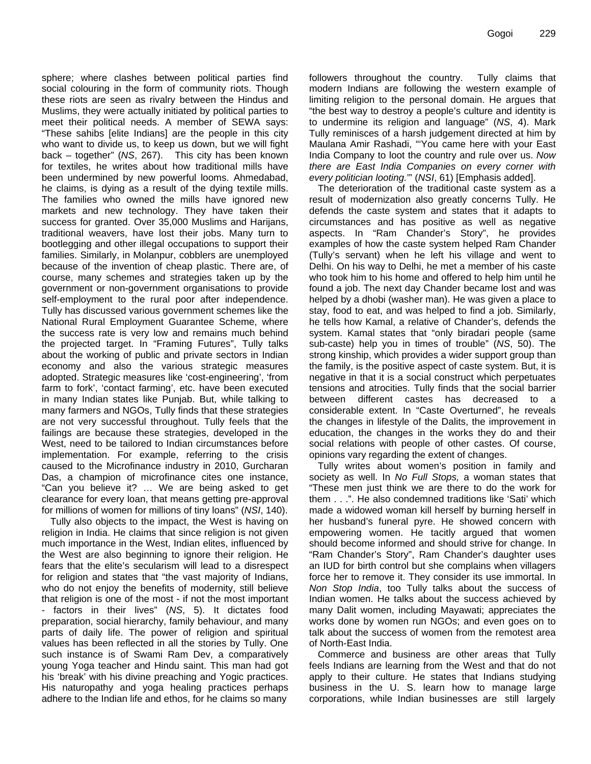sphere; where clashes between political parties find social colouring in the form of community riots. Though these riots are seen as rivalry between the Hindus and Muslims, they were actually initiated by political parties to meet their political needs. A member of SEWA says: "These sahibs [elite Indians] are the people in this city who want to divide us, to keep us down, but we will fight back – together" (*NS*, 267). This city has been known for textiles, he writes about how traditional mills have been undermined by new powerful looms. Ahmedabad, he claims, is dying as a result of the dying textile mills. The families who owned the mills have ignored new markets and new technology. They have taken their success for granted. Over 35,000 Muslims and Harijans, traditional weavers, have lost their jobs. Many turn to bootlegging and other illegal occupations to support their families. Similarly, in Molanpur, cobblers are unemployed because of the invention of cheap plastic. There are, of course, many schemes and strategies taken up by the government or non-government organisations to provide self-employment to the rural poor after independence. Tully has discussed various government schemes like the National Rural Employment Guarantee Scheme, where the success rate is very low and remains much behind the projected target. In "Framing Futures", Tully talks about the working of public and private sectors in Indian economy and also the various strategic measures adopted. Strategic measures like 'cost-engineering', 'from farm to fork', 'contact farming', etc. have been executed in many Indian states like Punjab. But, while talking to many farmers and NGOs, Tully finds that these strategies are not very successful throughout. Tully feels that the failings are because these strategies, developed in the West, need to be tailored to Indian circumstances before implementation. For example, referring to the crisis caused to the Microfinance industry in 2010, Gurcharan Das, a champion of microfinance cites one instance, "Can you believe it? … We are being asked to get clearance for every loan, that means getting pre-approval for millions of women for millions of tiny loans" (*NSI*, 140).

Tully also objects to the impact, the West is having on religion in India. He claims that since religion is not given much importance in the West, Indian elites, influenced by the West are also beginning to ignore their religion. He fears that the elite's secularism will lead to a disrespect for religion and states that "the vast majority of Indians, who do not enjoy the benefits of modernity, still believe that religion is one of the most - if not the most important - factors in their lives" (*NS*, 5). It dictates food preparation, social hierarchy, family behaviour, and many parts of daily life. The power of religion and spiritual values has been reflected in all the stories by Tully. One such instance is of Swami Ram Dev, a comparatively young Yoga teacher and Hindu saint. This man had got his 'break' with his divine preaching and Yogic practices. His naturopathy and yoga healing practices perhaps adhere to the Indian life and ethos, for he claims so many

followers throughout the country. Tully claims that modern Indians are following the western example of limiting religion to the personal domain. He argues that "the best way to destroy a people's culture and identity is to undermine its religion and language" (*NS*, 4). Mark Tully reminisces of a harsh judgement directed at him by Maulana Amir Rashadi, "'You came here with your East India Company to loot the country and rule over us. *Now there are East India Companies on every corner with every politician looting.*'" (*NSI*, 61) [Emphasis added].

The deterioration of the traditional caste system as a result of modernization also greatly concerns Tully. He defends the caste system and states that it adapts to circumstances and has positive as well as negative aspects. In "Ram Chander's Story", he provides examples of how the caste system helped Ram Chander (Tully's servant) when he left his village and went to Delhi. On his way to Delhi, he met a member of his caste who took him to his home and offered to help him until he found a job. The next day Chander became lost and was helped by a dhobi (washer man). He was given a place to stay, food to eat, and was helped to find a job. Similarly, he tells how Kamal, a relative of Chander's, defends the system. Kamal states that "only biradari people (same sub-caste) help you in times of trouble" (*NS*, 50). The strong kinship, which provides a wider support group than the family, is the positive aspect of caste system. But, it is negative in that it is a social construct which perpetuates tensions and atrocities. Tully finds that the social barrier between different castes has decreased to a considerable extent. In "Caste Overturned", he reveals the changes in lifestyle of the Dalits, the improvement in education, the changes in the works they do and their social relations with people of other castes. Of course, opinions vary regarding the extent of changes.

Tully writes about women's position in family and society as well. In *No Full Stops,* a woman states that "These men just think we are there to do the work for them . . .". He also condemned traditions like 'Sati' which made a widowed woman kill herself by burning herself in her husband's funeral pyre. He showed concern with empowering women. He tacitly argued that women should become informed and should strive for change. In "Ram Chander's Story", Ram Chander's daughter uses an IUD for birth control but she complains when villagers force her to remove it. They consider its use immortal. In *Non Stop India*, too Tully talks about the success of Indian women. He talks about the success achieved by many Dalit women, including Mayawati; appreciates the works done by women run NGOs; and even goes on to talk about the success of women from the remotest area of North-East India.

Commerce and business are other areas that Tully feels Indians are learning from the West and that do not apply to their culture. He states that Indians studying business in the U. S. learn how to manage large corporations, while Indian businesses are still largely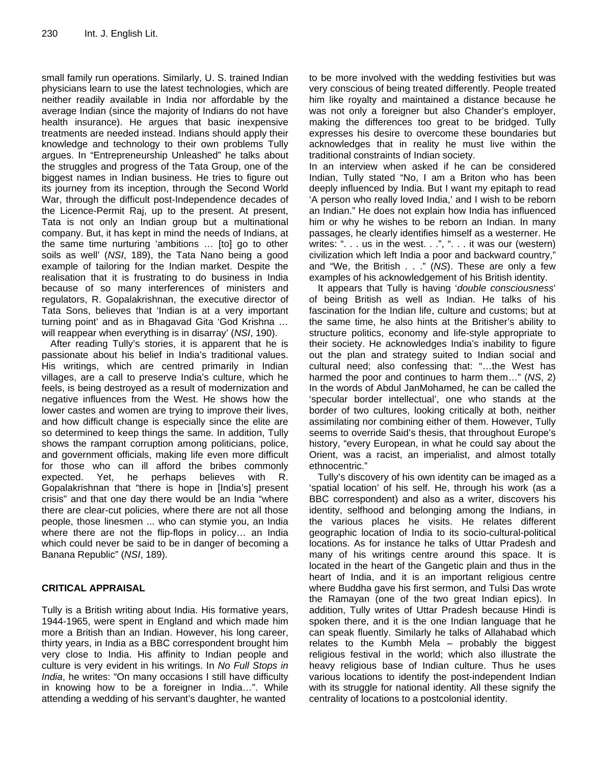small family run operations. Similarly, U. S. trained Indian physicians learn to use the latest technologies, which are neither readily available in India nor affordable by the average Indian (since the majority of Indians do not have health insurance). He argues that basic inexpensive treatments are needed instead. Indians should apply their knowledge and technology to their own problems Tully argues. In "Entrepreneurship Unleashed" he talks about the struggles and progress of the Tata Group, one of the biggest names in Indian business. He tries to figure out its journey from its inception, through the Second World War, through the difficult post-Independence decades of the Licence-Permit Raj, up to the present. At present, Tata is not only an Indian group but a multinational company. But, it has kept in mind the needs of Indians, at the same time nurturing 'ambitions … [to] go to other soils as well' (*NSI*, 189), the Tata Nano being a good example of tailoring for the Indian market. Despite the realisation that it is frustrating to do business in India because of so many interferences of ministers and regulators, R. Gopalakrishnan, the executive director of Tata Sons, believes that 'Indian is at a very important turning point' and as in Bhagavad Gita 'God Krishna … will reappear when everything is in disarray' (*NSI*, 190).

After reading Tully's stories, it is apparent that he is passionate about his belief in India's traditional values. His writings, which are centred primarily in Indian villages, are a call to preserve India's culture, which he feels, is being destroyed as a result of modernization and negative influences from the West. He shows how the lower castes and women are trying to improve their lives, and how difficult change is especially since the elite are so determined to keep things the same. In addition, Tully shows the rampant corruption among politicians, police, and government officials, making life even more difficult for those who can ill afford the bribes commonly expected. Yet, he perhaps believes with R. Gopalakrishnan that "there is hope in [India's] present crisis" and that one day there would be an India "where there are clear-cut policies, where there are not all those people, those linesmen ... who can stymie you, an India where there are not the flip-flops in policy… an India which could never be said to be in danger of becoming a Banana Republic" (*NSI*, 189).

# **CRITICAL APPRAISAL**

Tully is a British writing about India. His formative years, 1944-1965, were spent in England and which made him more a British than an Indian. However, his long career, thirty years, in India as a BBC correspondent brought him very close to India. His affinity to Indian people and culture is very evident in his writings. In *No Full Stops in India*, he writes: "On many occasions I still have difficulty in knowing how to be a foreigner in India…". While attending a wedding of his servant's daughter, he wanted

to be more involved with the wedding festivities but was very conscious of being treated differently. People treated him like royalty and maintained a distance because he was not only a foreigner but also Chander's employer, making the differences too great to be bridged. Tully expresses his desire to overcome these boundaries but acknowledges that in reality he must live within the traditional constraints of Indian society.

In an interview when asked if he can be considered Indian, Tully stated "No, I am a Briton who has been deeply influenced by India. But I want my epitaph to read 'A person who really loved India,' and I wish to be reborn an Indian." He does not explain how India has influenced him or why he wishes to be reborn an Indian. In many passages, he clearly identifies himself as a westerner. He writes: ". . . us in the west. . .", ". . . it was our (western) civilization which left India a poor and backward country," and "We, the British . . ." (*NS*). These are only a few examples of his acknowledgement of his British identity.

It appears that Tully is having '*double consciousness*' of being British as well as Indian. He talks of his fascination for the Indian life, culture and customs; but at the same time, he also hints at the Britisher's ability to structure politics, economy and life-style appropriate to their society. He acknowledges India's inability to figure out the plan and strategy suited to Indian social and cultural need; also confessing that: "…the West has harmed the poor and continues to harm them…" (*NS*, 2) In the words of Abdul JanMohamed, he can be called the 'specular border intellectual', one who stands at the border of two cultures, looking critically at both, neither assimilating nor combining either of them. However, Tully seems to override Said's thesis, that throughout Europe's history, "every European, in what he could say about the Orient, was a racist, an imperialist, and almost totally ethnocentric."

Tully's discovery of his own identity can be imaged as a 'spatial location' of his self. He, through his work (as a BBC correspondent) and also as a writer, discovers his identity, selfhood and belonging among the Indians, in the various places he visits. He relates different geographic location of India to its socio-cultural-political locations. As for instance he talks of Uttar Pradesh and many of his writings centre around this space. It is located in the heart of the Gangetic plain and thus in the heart of India, and it is an important religious centre where Buddha gave his first sermon, and Tulsi Das wrote the Ramayan (one of the two great Indian epics). In addition, Tully writes of Uttar Pradesh because Hindi is spoken there, and it is the one Indian language that he can speak fluently. Similarly he talks of Allahabad which relates to the Kumbh Mela – probably the biggest religious festival in the world; which also illustrate the heavy religious base of Indian culture. Thus he uses various locations to identify the post-independent Indian with its struggle for national identity. All these signify the centrality of locations to a postcolonial identity.